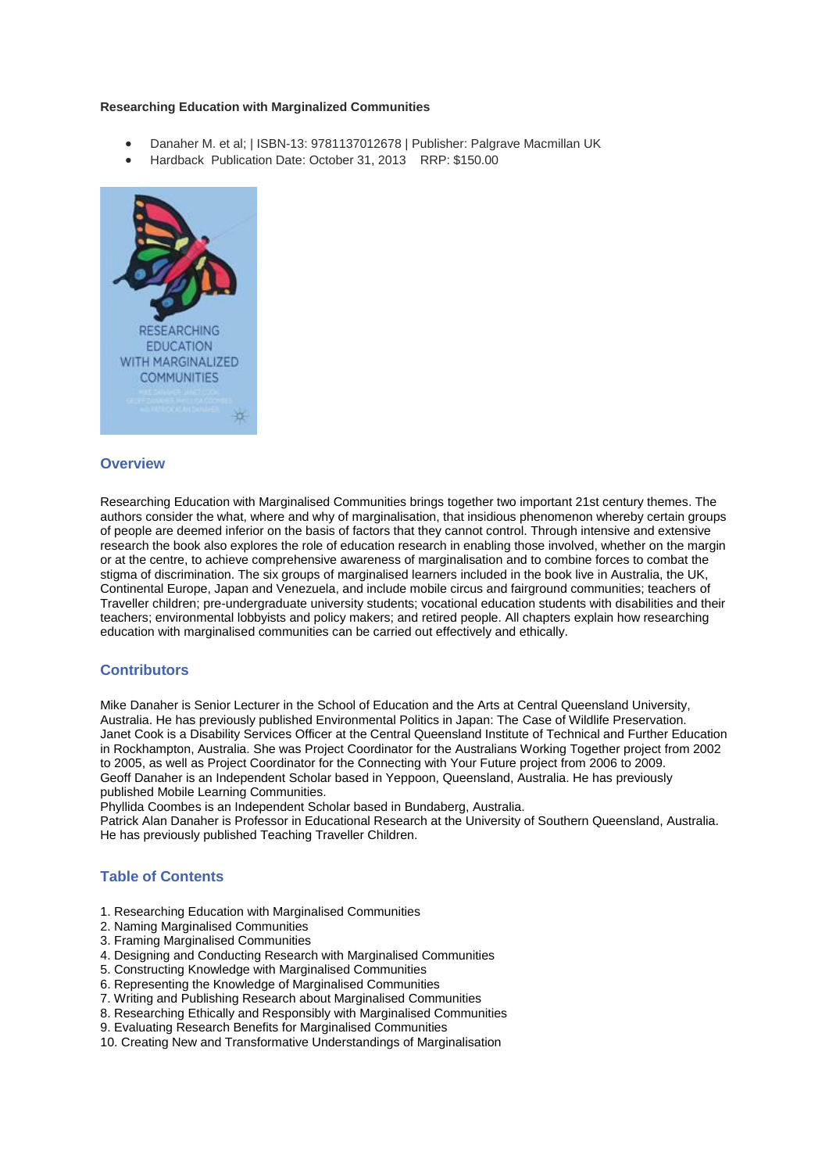#### **Researching Education with Marginalized Communities**

- Danaher M. et al; | ISBN-13: 9781137012678 | Publisher: Palgrave Macmillan UK
- Hardback Publication Date: October 31, 2013 RRP: \$150.00



#### **Overview**

Researching Education with Marginalised Communities brings together two important 21st century themes. The authors consider the what, where and why of marginalisation, that insidious phenomenon whereby certain groups of people are deemed inferior on the basis of factors that they cannot control. Through intensive and extensive research the book also explores the role of education research in enabling those involved, whether on the margin or at the centre, to achieve comprehensive awareness of marginalisation and to combine forces to combat the stigma of discrimination. The six groups of marginalised learners included in the book live in Australia, the UK, Continental Europe, Japan and Venezuela, and include mobile circus and fairground communities; teachers of Traveller children; pre-undergraduate university students; vocational education students with disabilities and their teachers; environmental lobbyists and policy makers; and retired people. All chapters explain how researching education with marginalised communities can be carried out effectively and ethically.

# **Contributors**

Mike Danaher is Senior Lecturer in the School of Education and the Arts at Central Queensland University, Australia. He has previously published Environmental Politics in Japan: The Case of Wildlife Preservation. Janet Cook is a Disability Services Officer at the Central Queensland Institute of Technical and Further Education in Rockhampton, Australia. She was Project Coordinator for the Australians Working Together project from 2002 to 2005, as well as Project Coordinator for the Connecting with Your Future project from 2006 to 2009. Geoff Danaher is an Independent Scholar based in Yeppoon, Queensland, Australia. He has previously published Mobile Learning Communities.

Phyllida Coombes is an Independent Scholar based in Bundaberg, Australia.

Patrick Alan Danaher is Professor in Educational Research at the University of Southern Queensland, Australia. He has previously published Teaching Traveller Children.

# **Table of Contents**

- 1. Researching Education with Marginalised Communities
- 2. Naming Marginalised Communities
- 3. Framing Marginalised Communities
- 4. Designing and Conducting Research with Marginalised Communities
- 5. Constructing Knowledge with Marginalised Communities
- 6. Representing the Knowledge of Marginalised Communities
- 7. Writing and Publishing Research about Marginalised Communities
- 8. Researching Ethically and Responsibly with Marginalised Communities
- 9. Evaluating Research Benefits for Marginalised Communities
- 10. Creating New and Transformative Understandings of Marginalisation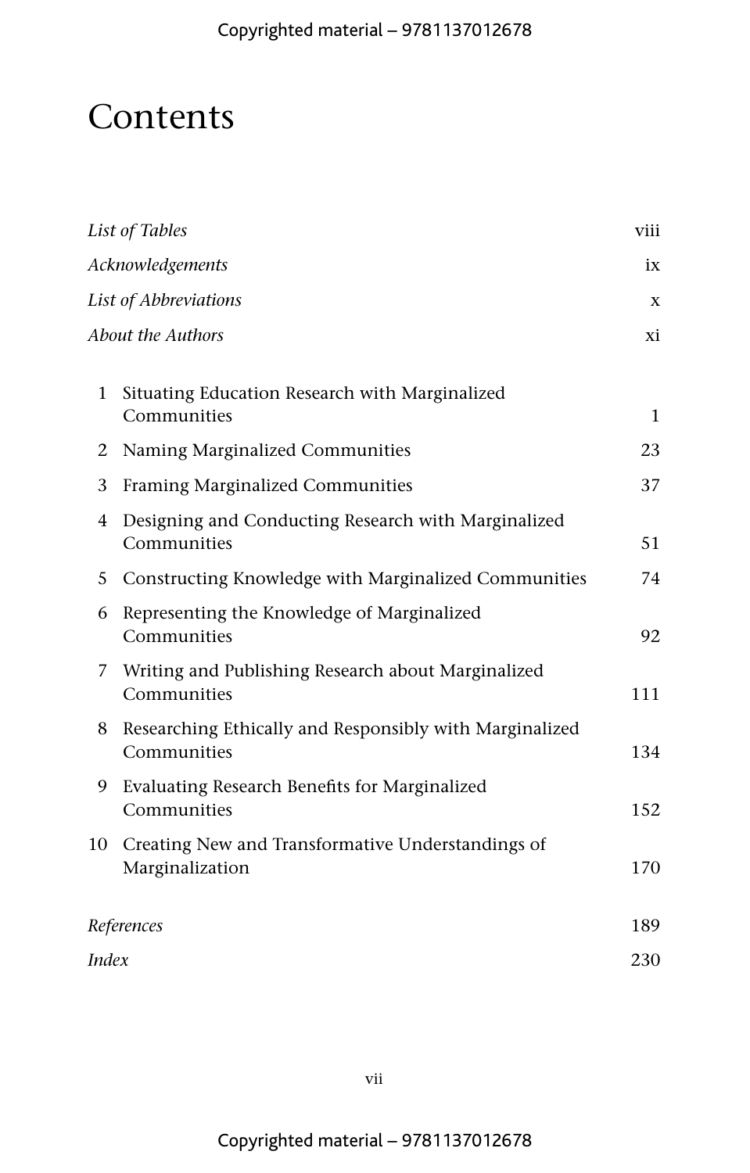# **Contents**

| List of Tables<br>Acknowledgements<br>List of Abbreviations |                                                                        | viii<br>ix<br>X |   |                                                               |              |
|-------------------------------------------------------------|------------------------------------------------------------------------|-----------------|---|---------------------------------------------------------------|--------------|
|                                                             |                                                                        |                 |   | About the Authors                                             |              |
|                                                             |                                                                        |                 | 1 | Situating Education Research with Marginalized<br>Communities | $\mathbf{1}$ |
| 2                                                           | Naming Marginalized Communities                                        | 23              |   |                                                               |              |
| 3                                                           | Framing Marginalized Communities                                       | 37              |   |                                                               |              |
| 4                                                           | Designing and Conducting Research with Marginalized<br>Communities     | 51              |   |                                                               |              |
| 5                                                           | Constructing Knowledge with Marginalized Communities                   | 74              |   |                                                               |              |
| 6                                                           | Representing the Knowledge of Marginalized<br>Communities              | 92              |   |                                                               |              |
| 7                                                           | Writing and Publishing Research about Marginalized<br>Communities      | 111             |   |                                                               |              |
| 8                                                           | Researching Ethically and Responsibly with Marginalized<br>Communities | 134             |   |                                                               |              |
| 9                                                           | Evaluating Research Benefits for Marginalized<br>Communities           | 152             |   |                                                               |              |
| 10                                                          | Creating New and Transformative Understandings of<br>Marginalization   | 170             |   |                                                               |              |
| References                                                  |                                                                        | 189             |   |                                                               |              |
|                                                             | Index                                                                  |                 |   |                                                               |              |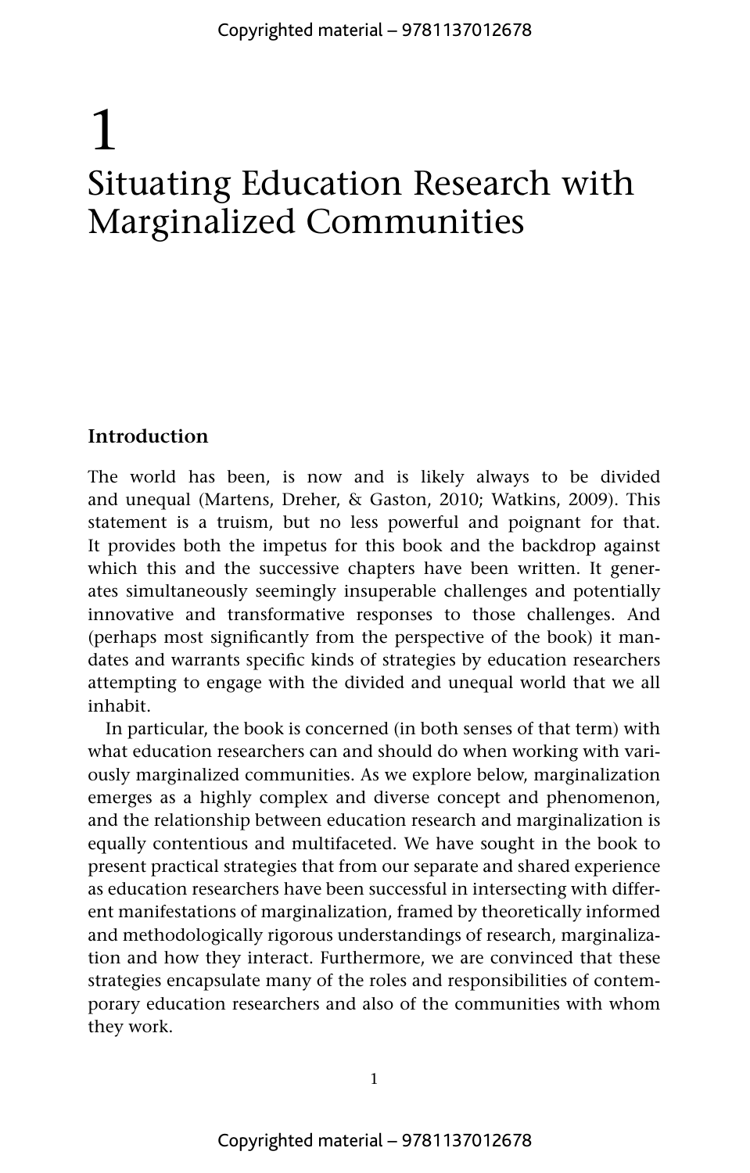# 1 Situating Education Research with Marginalized Communities

# **Introduction**

The world has been, is now and is likely always to be divided and unequal (Martens, Dreher, & Gaston, 2010; Watkins, 2009). This statement is a truism, but no less powerful and poignant for that. It provides both the impetus for this book and the backdrop against which this and the successive chapters have been written. It generates simultaneously seemingly insuperable challenges and potentially innovative and transformative responses to those challenges. And (perhaps most significantly from the perspective of the book) it mandates and warrants specific kinds of strategies by education researchers attempting to engage with the divided and unequal world that we all inhabit.

In particular, the book is concerned (in both senses of that term) with what education researchers can and should do when working with variously marginalized communities. As we explore below, marginalization emerges as a highly complex and diverse concept and phenomenon, and the relationship between education research and marginalization is equally contentious and multifaceted. We have sought in the book to present practical strategies that from our separate and shared experience as education researchers have been successful in intersecting with different manifestations of marginalization, framed by theoretically informed and methodologically rigorous understandings of research, marginalization and how they interact. Furthermore, we are convinced that these strategies encapsulate many of the roles and responsibilities of contemporary education researchers and also of the communities with whom they work.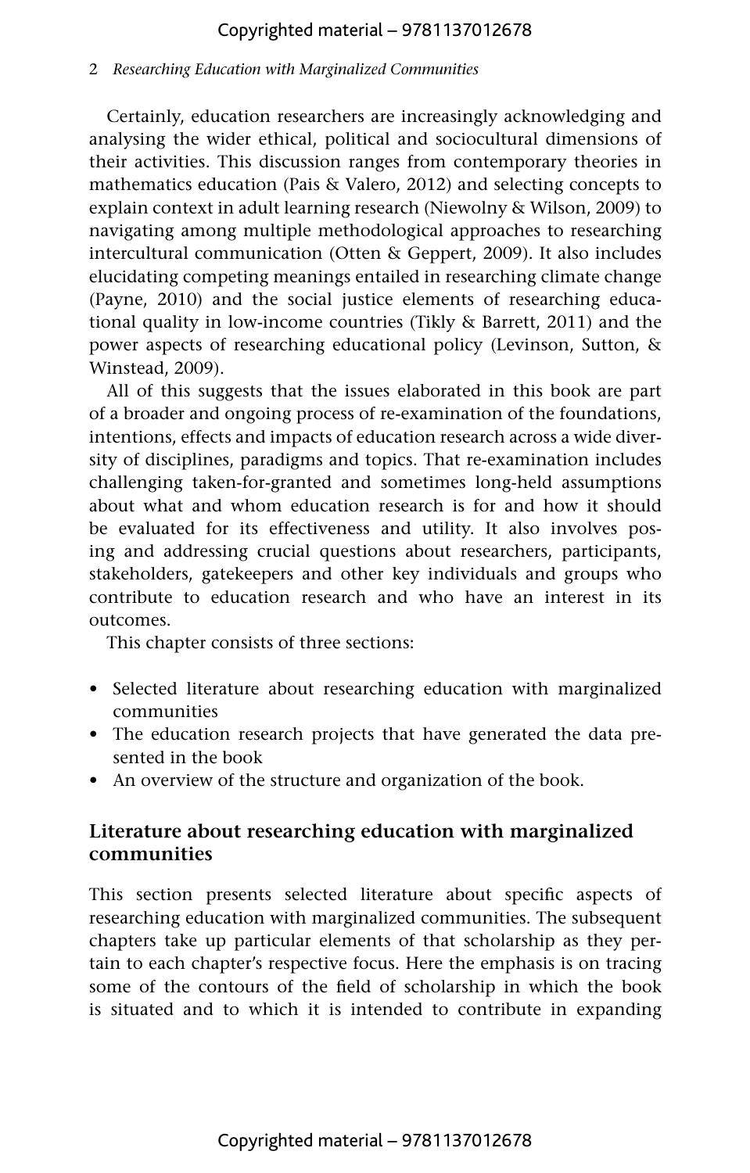#### Copyrighted material – 9781137012678

#### 2 *Researching Education with Marginalized Communities*

Certainly, education researchers are increasingly acknowledging and analysing the wider ethical, political and sociocultural dimensions of their activities. This discussion ranges from contemporary theories in mathematics education (Pais & Valero, 2012) and selecting concepts to explain context in adult learning research (Niewolny & Wilson, 2009) to navigating among multiple methodological approaches to researching intercultural communication (Otten & Geppert, 2009). It also includes elucidating competing meanings entailed in researching climate change (Payne, 2010) and the social justice elements of researching educational quality in low-income countries (Tikly & Barrett, 2011) and the power aspects of researching educational policy (Levinson, Sutton, & Winstead, 2009).

All of this suggests that the issues elaborated in this book are part of a broader and ongoing process of re-examination of the foundations, intentions, effects and impacts of education research across a wide diversity of disciplines, paradigms and topics. That re-examination includes challenging taken-for-granted and sometimes long-held assumptions about what and whom education research is for and how it should be evaluated for its effectiveness and utility. It also involves posing and addressing crucial questions about researchers, participants, stakeholders, gatekeepers and other key individuals and groups who contribute to education research and who have an interest in its outcomes.

This chapter consists of three sections:

- Selected literature about researching education with marginalized communities
- The education research projects that have generated the data presented in the book
- An overview of the structure and organization of the book.

# **Literature about researching education with marginalized communities**

This section presents selected literature about specific aspects of researching education with marginalized communities. The subsequent chapters take up particular elements of that scholarship as they pertain to each chapter's respective focus. Here the emphasis is on tracing some of the contours of the field of scholarship in which the book is situated and to which it is intended to contribute in expanding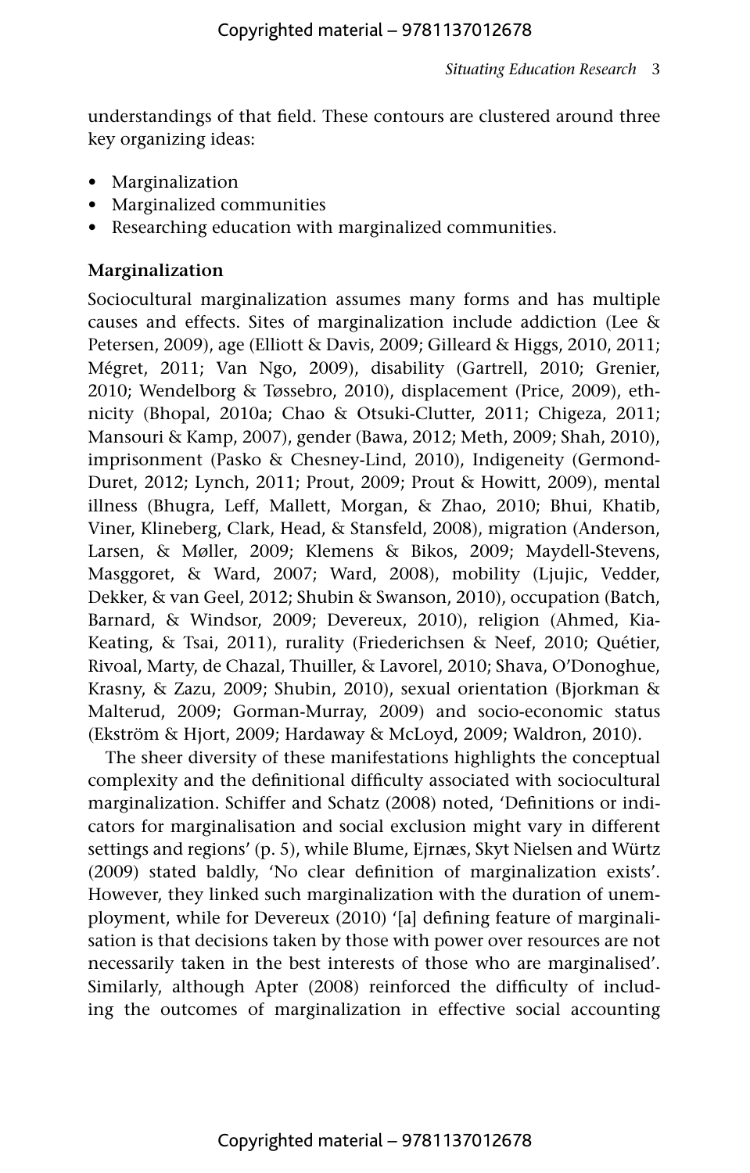understandings of that field. These contours are clustered around three key organizing ideas:

- Marginalization
- Marginalized communities
- Researching education with marginalized communities.

# **Marginalization**

Sociocultural marginalization assumes many forms and has multiple causes and effects. Sites of marginalization include addiction (Lee & Petersen, 2009), age (Elliott & Davis, 2009; Gilleard & Higgs, 2010, 2011; Mégret, 2011; Van Ngo, 2009), disability (Gartrell, 2010; Grenier, 2010; Wendelborg & Tøssebro, 2010), displacement (Price, 2009), ethnicity (Bhopal, 2010a; Chao & Otsuki-Clutter, 2011; Chigeza, 2011; Mansouri & Kamp, 2007), gender (Bawa, 2012; Meth, 2009; Shah, 2010), imprisonment (Pasko & Chesney-Lind, 2010), Indigeneity (Germond-Duret, 2012; Lynch, 2011; Prout, 2009; Prout & Howitt, 2009), mental illness (Bhugra, Leff, Mallett, Morgan, & Zhao, 2010; Bhui, Khatib, Viner, Klineberg, Clark, Head, & Stansfeld, 2008), migration (Anderson, Larsen, & Møller, 2009; Klemens & Bikos, 2009; Maydell-Stevens, Masggoret, & Ward, 2007; Ward, 2008), mobility (Ljujic, Vedder, Dekker, & van Geel, 2012; Shubin & Swanson, 2010), occupation (Batch, Barnard, & Windsor, 2009; Devereux, 2010), religion (Ahmed, Kia-Keating, & Tsai, 2011), rurality (Friederichsen & Neef, 2010; Quétier, Rivoal, Marty, de Chazal, Thuiller, & Lavorel, 2010; Shava, O'Donoghue, Krasny, & Zazu, 2009; Shubin, 2010), sexual orientation (Bjorkman & Malterud, 2009; Gorman-Murray, 2009) and socio-economic status (Ekström & Hjort, 2009; Hardaway & McLoyd, 2009; Waldron, 2010).

The sheer diversity of these manifestations highlights the conceptual complexity and the definitional difficulty associated with sociocultural marginalization. Schiffer and Schatz (2008) noted, 'Definitions or indicators for marginalisation and social exclusion might vary in different settings and regions' (p. 5), while Blume, Ejrnæs, Skyt Nielsen and Würtz (2009) stated baldly, 'No clear definition of marginalization exists'. However, they linked such marginalization with the duration of unemployment, while for Devereux (2010) '[a] defining feature of marginalisation is that decisions taken by those with power over resources are not necessarily taken in the best interests of those who are marginalised'. Similarly, although Apter (2008) reinforced the difficulty of including the outcomes of marginalization in effective social accounting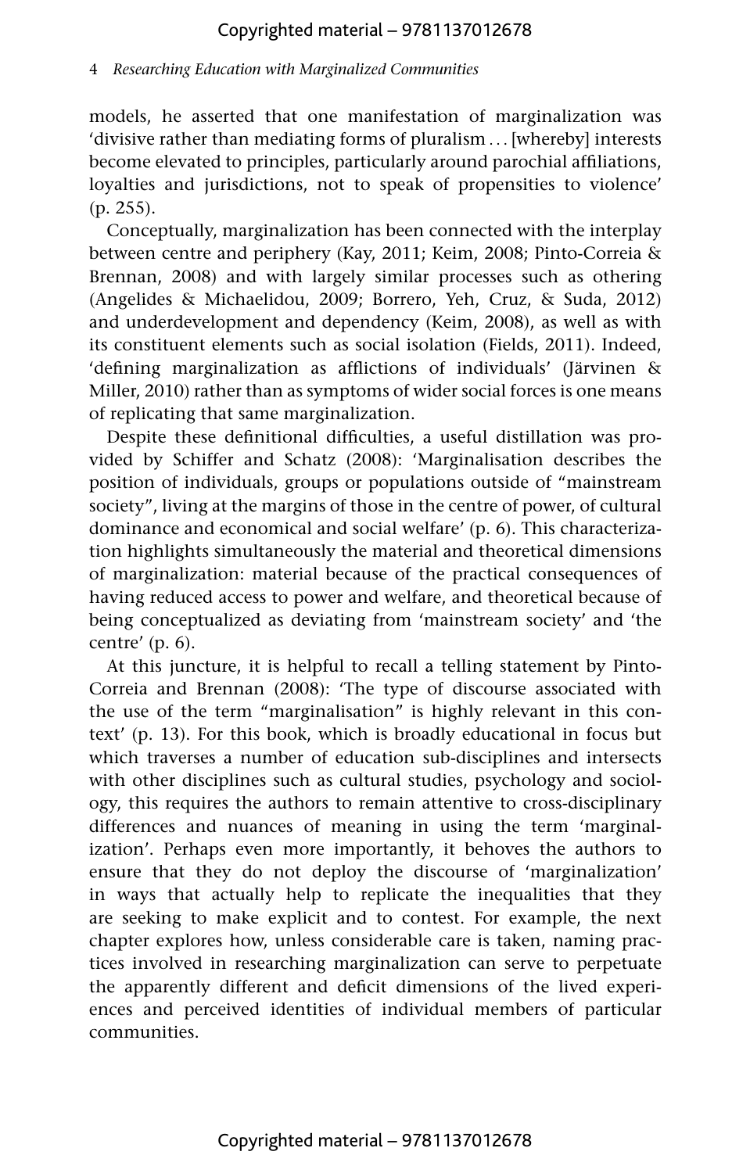## Copyrighted material – 9781137012678

#### 4 *Researching Education with Marginalized Communities*

models, he asserted that one manifestation of marginalization was 'divisive rather than mediating forms of pluralism *...* [whereby] interests become elevated to principles, particularly around parochial affiliations, loyalties and jurisdictions, not to speak of propensities to violence' (p. 255).

Conceptually, marginalization has been connected with the interplay between centre and periphery (Kay, 2011; Keim, 2008; Pinto-Correia & Brennan, 2008) and with largely similar processes such as othering (Angelides & Michaelidou, 2009; Borrero, Yeh, Cruz, & Suda, 2012) and underdevelopment and dependency (Keim, 2008), as well as with its constituent elements such as social isolation (Fields, 2011). Indeed, 'defining marginalization as afflictions of individuals' (Järvinen & Miller, 2010) rather than as symptoms of wider social forces is one means of replicating that same marginalization.

Despite these definitional difficulties, a useful distillation was provided by Schiffer and Schatz (2008): 'Marginalisation describes the position of individuals, groups or populations outside of "mainstream society", living at the margins of those in the centre of power, of cultural dominance and economical and social welfare' (p. 6). This characterization highlights simultaneously the material and theoretical dimensions of marginalization: material because of the practical consequences of having reduced access to power and welfare, and theoretical because of being conceptualized as deviating from 'mainstream society' and 'the centre' (p. 6).

At this juncture, it is helpful to recall a telling statement by Pinto-Correia and Brennan (2008): 'The type of discourse associated with the use of the term "marginalisation" is highly relevant in this context' (p. 13). For this book, which is broadly educational in focus but which traverses a number of education sub-disciplines and intersects with other disciplines such as cultural studies, psychology and sociology, this requires the authors to remain attentive to cross-disciplinary differences and nuances of meaning in using the term 'marginalization'. Perhaps even more importantly, it behoves the authors to ensure that they do not deploy the discourse of 'marginalization' in ways that actually help to replicate the inequalities that they are seeking to make explicit and to contest. For example, the next chapter explores how, unless considerable care is taken, naming practices involved in researching marginalization can serve to perpetuate the apparently different and deficit dimensions of the lived experiences and perceived identities of individual members of particular communities.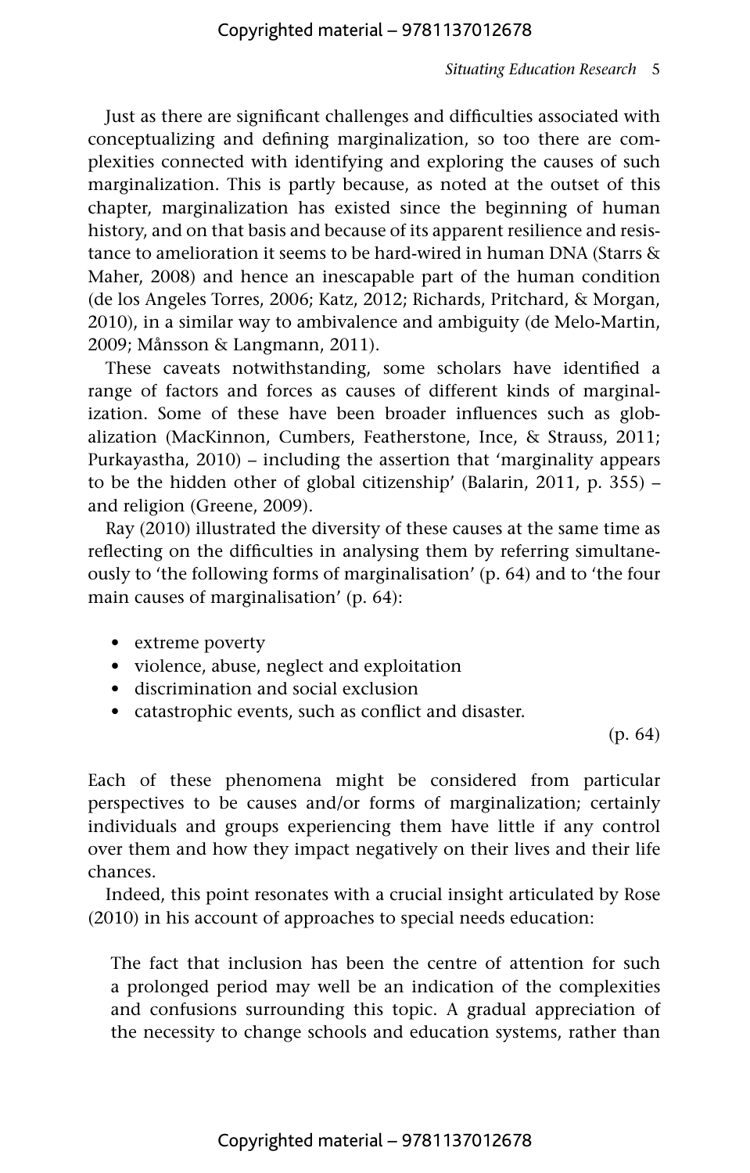Just as there are significant challenges and difficulties associated with conceptualizing and defining marginalization, so too there are complexities connected with identifying and exploring the causes of such marginalization. This is partly because, as noted at the outset of this chapter, marginalization has existed since the beginning of human history, and on that basis and because of its apparent resilience and resistance to amelioration it seems to be hard-wired in human DNA (Starrs & Maher, 2008) and hence an inescapable part of the human condition (de los Angeles Torres, 2006; Katz, 2012; Richards, Pritchard, & Morgan, 2010), in a similar way to ambivalence and ambiguity (de Melo-Martin, 2009; Månsson & Langmann, 2011).

These caveats notwithstanding, some scholars have identified a range of factors and forces as causes of different kinds of marginalization. Some of these have been broader influences such as globalization (MacKinnon, Cumbers, Featherstone, Ince, & Strauss, 2011; Purkayastha, 2010) – including the assertion that 'marginality appears to be the hidden other of global citizenship' (Balarin, 2011, p. 355) – and religion (Greene, 2009).

Ray (2010) illustrated the diversity of these causes at the same time as reflecting on the difficulties in analysing them by referring simultaneously to 'the following forms of marginalisation' (p. 64) and to 'the four main causes of marginalisation' (p. 64):

- extreme poverty
- violence, abuse, neglect and exploitation
- discrimination and social exclusion
- catastrophic events, such as conflict and disaster.

(p. 64)

Each of these phenomena might be considered from particular perspectives to be causes and/or forms of marginalization; certainly individuals and groups experiencing them have little if any control over them and how they impact negatively on their lives and their life chances.

Indeed, this point resonates with a crucial insight articulated by Rose (2010) in his account of approaches to special needs education:

The fact that inclusion has been the centre of attention for such a prolonged period may well be an indication of the complexities and confusions surrounding this topic. A gradual appreciation of the necessity to change schools and education systems, rather than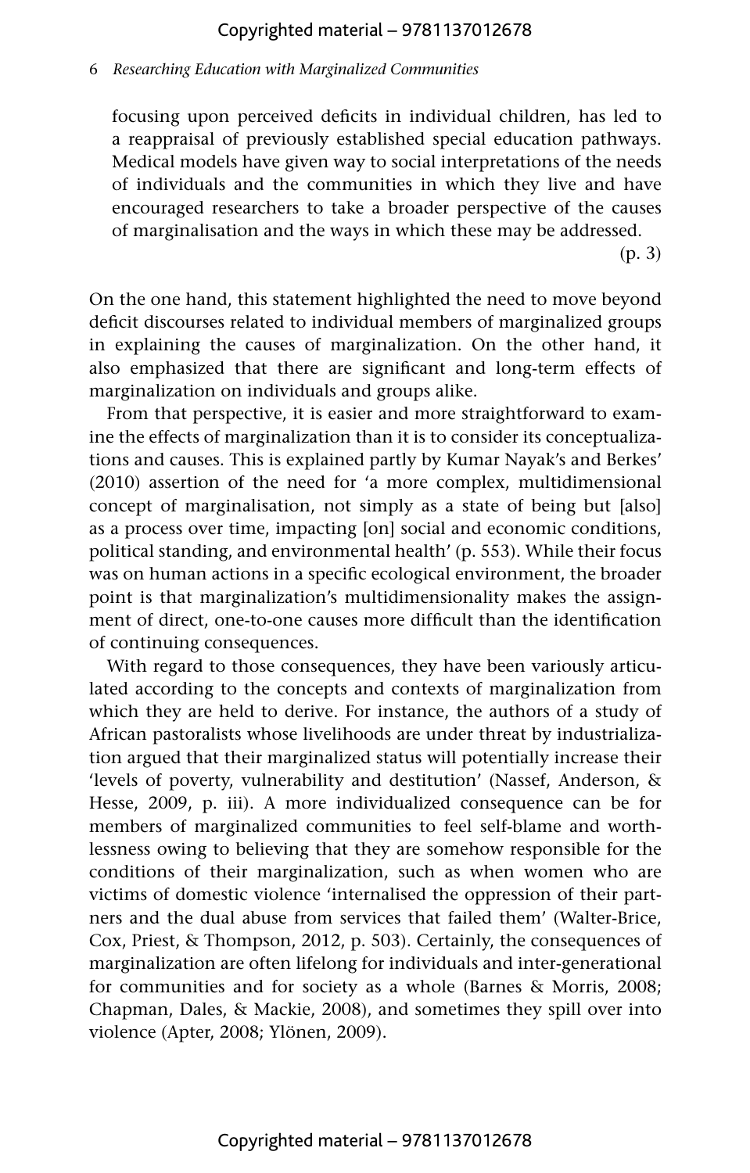#### 6 *Researching Education with Marginalized Communities*

focusing upon perceived deficits in individual children, has led to a reappraisal of previously established special education pathways. Medical models have given way to social interpretations of the needs of individuals and the communities in which they live and have encouraged researchers to take a broader perspective of the causes of marginalisation and the ways in which these may be addressed.

(p. 3)

On the one hand, this statement highlighted the need to move beyond deficit discourses related to individual members of marginalized groups in explaining the causes of marginalization. On the other hand, it also emphasized that there are significant and long-term effects of marginalization on individuals and groups alike.

From that perspective, it is easier and more straightforward to examine the effects of marginalization than it is to consider its conceptualizations and causes. This is explained partly by Kumar Nayak's and Berkes' (2010) assertion of the need for 'a more complex, multidimensional concept of marginalisation, not simply as a state of being but [also] as a process over time, impacting [on] social and economic conditions, political standing, and environmental health' (p. 553). While their focus was on human actions in a specific ecological environment, the broader point is that marginalization's multidimensionality makes the assignment of direct, one-to-one causes more difficult than the identification of continuing consequences.

With regard to those consequences, they have been variously articulated according to the concepts and contexts of marginalization from which they are held to derive. For instance, the authors of a study of African pastoralists whose livelihoods are under threat by industrialization argued that their marginalized status will potentially increase their 'levels of poverty, vulnerability and destitution' (Nassef, Anderson, & Hesse, 2009, p. iii). A more individualized consequence can be for members of marginalized communities to feel self-blame and worthlessness owing to believing that they are somehow responsible for the conditions of their marginalization, such as when women who are victims of domestic violence 'internalised the oppression of their partners and the dual abuse from services that failed them' (Walter-Brice, Cox, Priest, & Thompson, 2012, p. 503). Certainly, the consequences of marginalization are often lifelong for individuals and inter-generational for communities and for society as a whole (Barnes & Morris, 2008; Chapman, Dales, & Mackie, 2008), and sometimes they spill over into violence (Apter, 2008; Ylönen, 2009).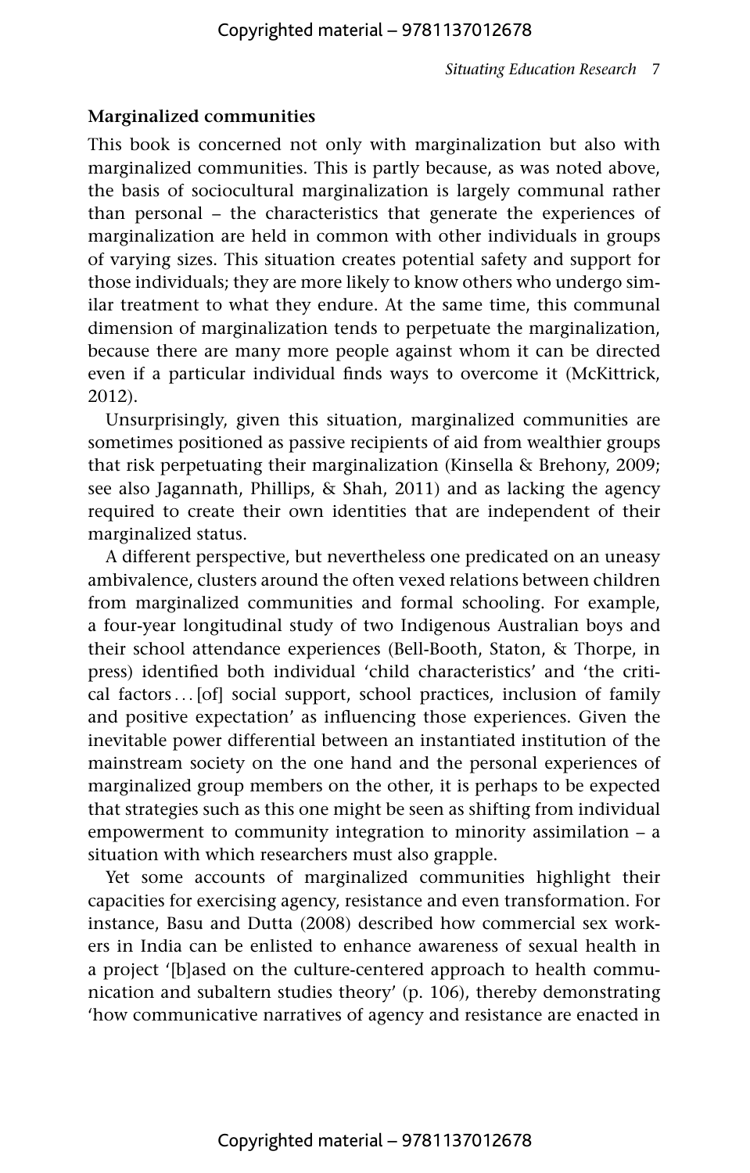# **Marginalized communities**

This book is concerned not only with marginalization but also with marginalized communities. This is partly because, as was noted above, the basis of sociocultural marginalization is largely communal rather than personal – the characteristics that generate the experiences of marginalization are held in common with other individuals in groups of varying sizes. This situation creates potential safety and support for those individuals; they are more likely to know others who undergo similar treatment to what they endure. At the same time, this communal dimension of marginalization tends to perpetuate the marginalization, because there are many more people against whom it can be directed even if a particular individual finds ways to overcome it (McKittrick, 2012).

Unsurprisingly, given this situation, marginalized communities are sometimes positioned as passive recipients of aid from wealthier groups that risk perpetuating their marginalization (Kinsella & Brehony, 2009; see also Jagannath, Phillips, & Shah, 2011) and as lacking the agency required to create their own identities that are independent of their marginalized status.

A different perspective, but nevertheless one predicated on an uneasy ambivalence, clusters around the often vexed relations between children from marginalized communities and formal schooling. For example, a four-year longitudinal study of two Indigenous Australian boys and their school attendance experiences (Bell-Booth, Staton, & Thorpe, in press) identified both individual 'child characteristics' and 'the critical factors *...* [of] social support, school practices, inclusion of family and positive expectation' as influencing those experiences. Given the inevitable power differential between an instantiated institution of the mainstream society on the one hand and the personal experiences of marginalized group members on the other, it is perhaps to be expected that strategies such as this one might be seen as shifting from individual empowerment to community integration to minority assimilation – a situation with which researchers must also grapple.

Yet some accounts of marginalized communities highlight their capacities for exercising agency, resistance and even transformation. For instance, Basu and Dutta (2008) described how commercial sex workers in India can be enlisted to enhance awareness of sexual health in a project '[b]ased on the culture-centered approach to health communication and subaltern studies theory' (p. 106), thereby demonstrating 'how communicative narratives of agency and resistance are enacted in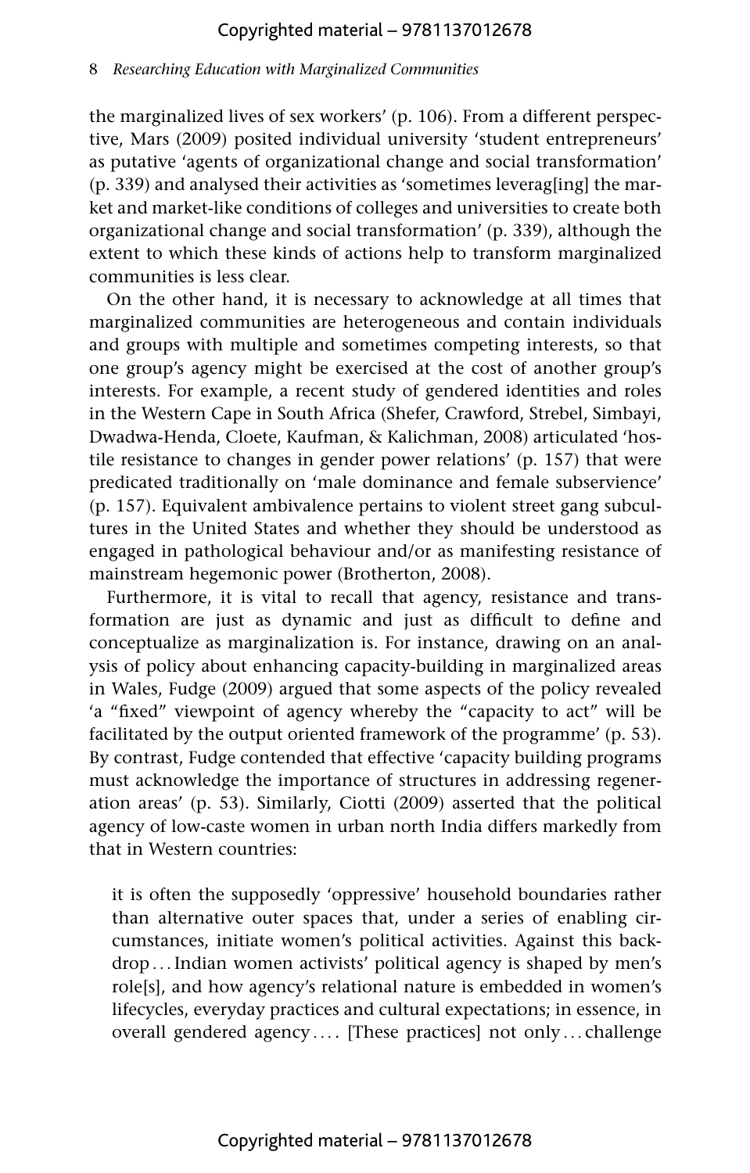#### 8 *Researching Education with Marginalized Communities*

the marginalized lives of sex workers' (p. 106). From a different perspective, Mars (2009) posited individual university 'student entrepreneurs' as putative 'agents of organizational change and social transformation' (p. 339) and analysed their activities as 'sometimes leverag[ing] the market and market-like conditions of colleges and universities to create both organizational change and social transformation' (p. 339), although the extent to which these kinds of actions help to transform marginalized communities is less clear.

On the other hand, it is necessary to acknowledge at all times that marginalized communities are heterogeneous and contain individuals and groups with multiple and sometimes competing interests, so that one group's agency might be exercised at the cost of another group's interests. For example, a recent study of gendered identities and roles in the Western Cape in South Africa (Shefer, Crawford, Strebel, Simbayi, Dwadwa-Henda, Cloete, Kaufman, & Kalichman, 2008) articulated 'hostile resistance to changes in gender power relations' (p. 157) that were predicated traditionally on 'male dominance and female subservience' (p. 157). Equivalent ambivalence pertains to violent street gang subcultures in the United States and whether they should be understood as engaged in pathological behaviour and/or as manifesting resistance of mainstream hegemonic power (Brotherton, 2008).

Furthermore, it is vital to recall that agency, resistance and transformation are just as dynamic and just as difficult to define and conceptualize as marginalization is. For instance, drawing on an analysis of policy about enhancing capacity-building in marginalized areas in Wales, Fudge (2009) argued that some aspects of the policy revealed 'a "fixed" viewpoint of agency whereby the "capacity to act" will be facilitated by the output oriented framework of the programme' (p. 53). By contrast, Fudge contended that effective 'capacity building programs must acknowledge the importance of structures in addressing regeneration areas' (p. 53). Similarly, Ciotti (2009) asserted that the political agency of low-caste women in urban north India differs markedly from that in Western countries:

it is often the supposedly 'oppressive' household boundaries rather than alternative outer spaces that, under a series of enabling circumstances, initiate women's political activities. Against this backdrop *...*Indian women activists' political agency is shaped by men's role[s], and how agency's relational nature is embedded in women's lifecycles, everyday practices and cultural expectations; in essence, in overall gendered agency *...* . [These practices] not only *...* challenge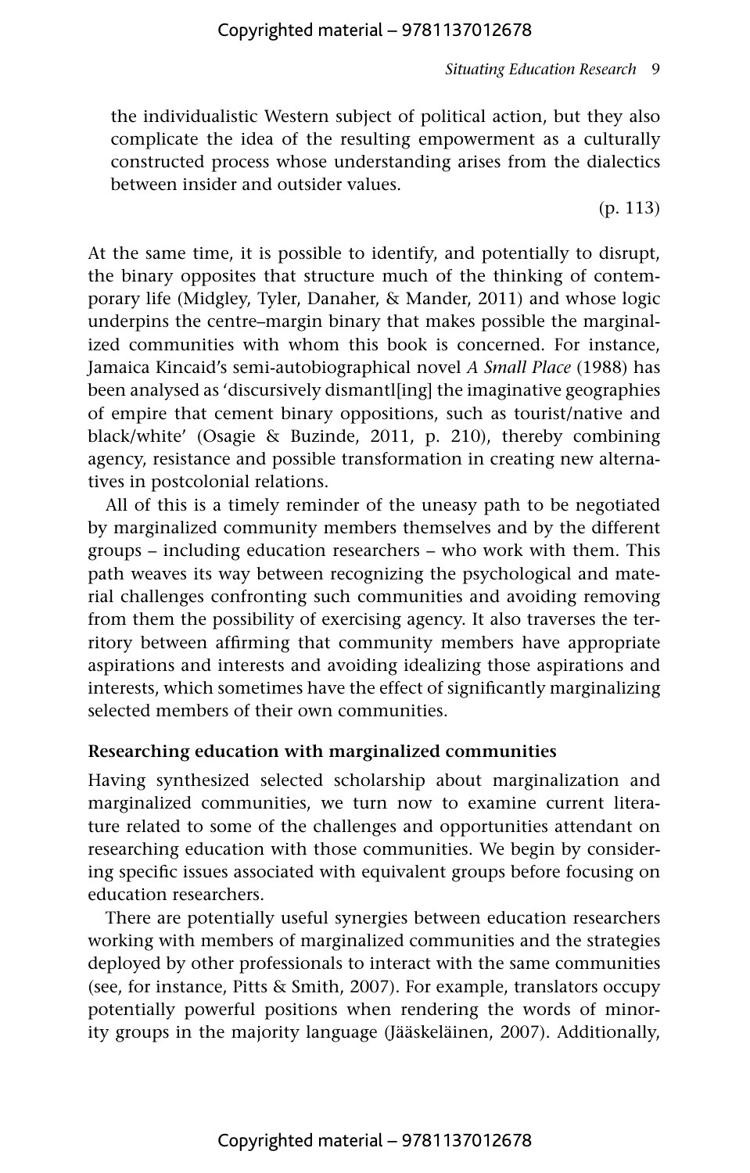#### *Situating Education Research* 9

the individualistic Western subject of political action, but they also complicate the idea of the resulting empowerment as a culturally constructed process whose understanding arises from the dialectics between insider and outsider values.

(p. 113)

At the same time, it is possible to identify, and potentially to disrupt, the binary opposites that structure much of the thinking of contemporary life (Midgley, Tyler, Danaher, & Mander, 2011) and whose logic underpins the centre–margin binary that makes possible the marginalized communities with whom this book is concerned. For instance, Jamaica Kincaid's semi-autobiographical novel *A Small Place* (1988) has been analysed as 'discursively dismantl[ing] the imaginative geographies of empire that cement binary oppositions, such as tourist/native and black/white' (Osagie & Buzinde, 2011, p. 210), thereby combining agency, resistance and possible transformation in creating new alternatives in postcolonial relations.

All of this is a timely reminder of the uneasy path to be negotiated by marginalized community members themselves and by the different groups – including education researchers – who work with them. This path weaves its way between recognizing the psychological and material challenges confronting such communities and avoiding removing from them the possibility of exercising agency. It also traverses the territory between affirming that community members have appropriate aspirations and interests and avoiding idealizing those aspirations and interests, which sometimes have the effect of significantly marginalizing selected members of their own communities.

#### **Researching education with marginalized communities**

Having synthesized selected scholarship about marginalization and marginalized communities, we turn now to examine current literature related to some of the challenges and opportunities attendant on researching education with those communities. We begin by considering specific issues associated with equivalent groups before focusing on education researchers.

There are potentially useful synergies between education researchers working with members of marginalized communities and the strategies deployed by other professionals to interact with the same communities (see, for instance, Pitts & Smith, 2007). For example, translators occupy potentially powerful positions when rendering the words of minority groups in the majority language (Jääskeläinen, 2007). Additionally,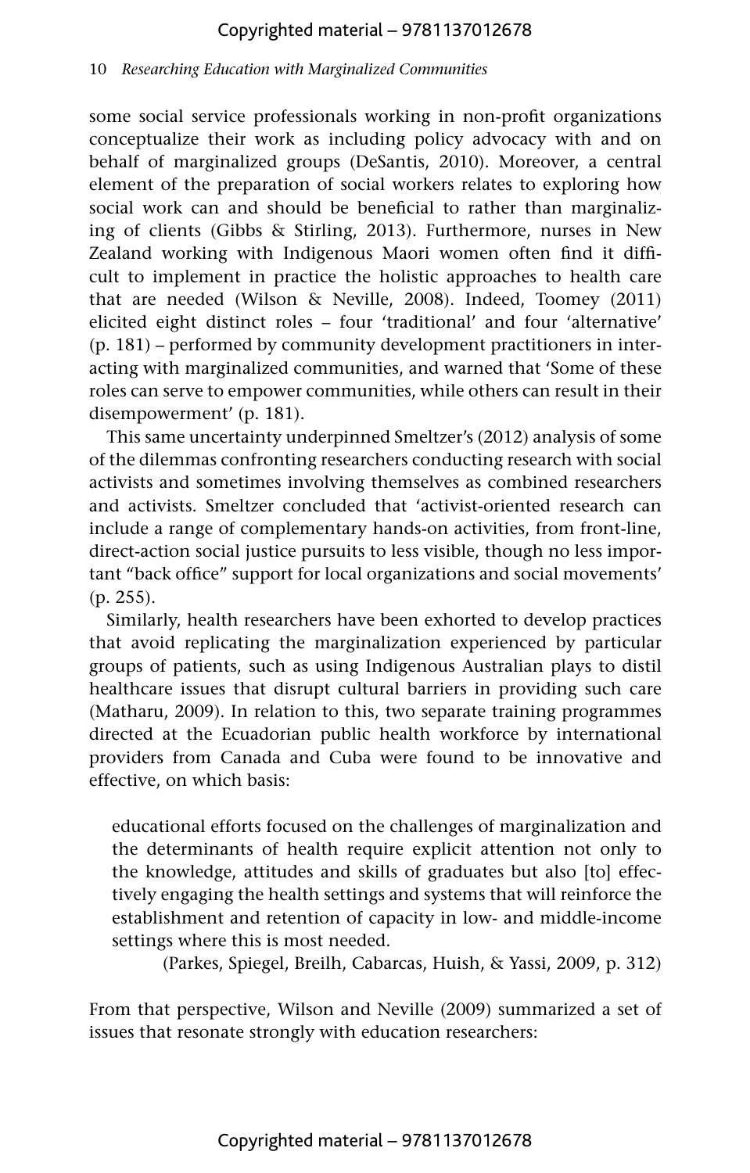### Copyrighted material – 9781137012678

#### 10 *Researching Education with Marginalized Communities*

some social service professionals working in non-profit organizations conceptualize their work as including policy advocacy with and on behalf of marginalized groups (DeSantis, 2010). Moreover, a central element of the preparation of social workers relates to exploring how social work can and should be beneficial to rather than marginalizing of clients (Gibbs & Stirling, 2013). Furthermore, nurses in New Zealand working with Indigenous Maori women often find it difficult to implement in practice the holistic approaches to health care that are needed (Wilson & Neville, 2008). Indeed, Toomey (2011) elicited eight distinct roles – four 'traditional' and four 'alternative' (p. 181) – performed by community development practitioners in interacting with marginalized communities, and warned that 'Some of these roles can serve to empower communities, while others can result in their disempowerment' (p. 181).

This same uncertainty underpinned Smeltzer's (2012) analysis of some of the dilemmas confronting researchers conducting research with social activists and sometimes involving themselves as combined researchers and activists. Smeltzer concluded that 'activist-oriented research can include a range of complementary hands-on activities, from front-line, direct-action social justice pursuits to less visible, though no less important "back office" support for local organizations and social movements' (p. 255).

Similarly, health researchers have been exhorted to develop practices that avoid replicating the marginalization experienced by particular groups of patients, such as using Indigenous Australian plays to distil healthcare issues that disrupt cultural barriers in providing such care (Matharu, 2009). In relation to this, two separate training programmes directed at the Ecuadorian public health workforce by international providers from Canada and Cuba were found to be innovative and effective, on which basis:

educational efforts focused on the challenges of marginalization and the determinants of health require explicit attention not only to the knowledge, attitudes and skills of graduates but also [to] effectively engaging the health settings and systems that will reinforce the establishment and retention of capacity in low- and middle-income settings where this is most needed.

(Parkes, Spiegel, Breilh, Cabarcas, Huish, & Yassi, 2009, p. 312)

From that perspective, Wilson and Neville (2009) summarized a set of issues that resonate strongly with education researchers: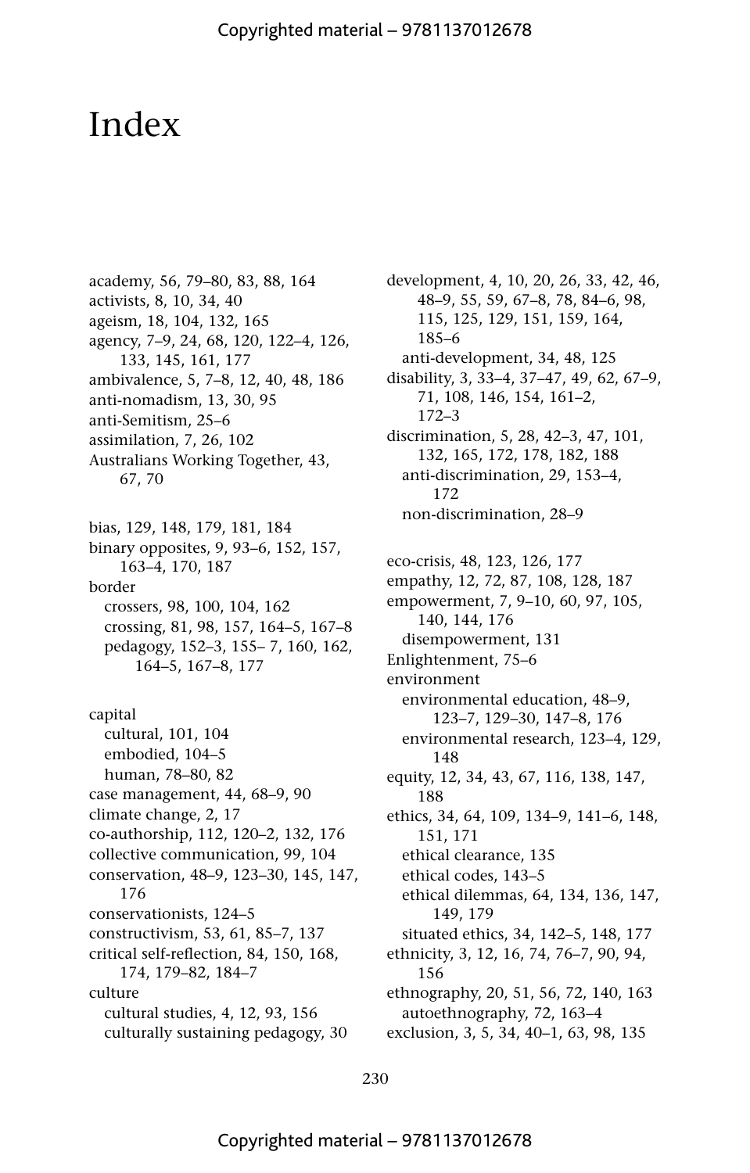# Index

academy, 56, 79–80, 83, 88, 164 activists, 8, 10, 34, 40 ageism, 18, 104, 132, 165 agency, 7–9, 24, 68, 120, 122–4, 126, 133, 145, 161, 177 ambivalence, 5, 7–8, 12, 40, 48, 186 anti-nomadism, 13, 30, 95 anti-Semitism, 25–6 assimilation, 7, 26, 102 Australians Working Together, 43, 67, 70 bias, 129, 148, 179, 181, 184 binary opposites, 9, 93–6, 152, 157, 163–4, 170, 187 border crossers, 98, 100, 104, 162 crossing, 81, 98, 157, 164–5, 167–8 pedagogy, 152–3, 155– 7, 160, 162, 164–5, 167–8, 177 capital cultural, 101, 104 embodied, 104–5 human, 78–80, 82 case management, 44, 68–9, 90 climate change, 2, 17 co-authorship, 112, 120–2, 132, 176 collective communication, 99, 104 conservation, 48–9, 123–30, 145, 147, 176 conservationists, 124–5 constructivism, 53, 61, 85–7, 137 critical self-reflection, 84, 150, 168, 174, 179–82, 184–7 culture cultural studies, 4, 12, 93, 156 culturally sustaining pedagogy, 30

development, 4, 10, 20, 26, 33, 42, 46, 48–9, 55, 59, 67–8, 78, 84–6, 98, 115, 125, 129, 151, 159, 164, 185–6 anti-development, 34, 48, 125 disability, 3, 33–4, 37–47, 49, 62, 67–9, 71, 108, 146, 154, 161–2, 172–3 discrimination, 5, 28, 42–3, 47, 101, 132, 165, 172, 178, 182, 188 anti-discrimination, 29, 153–4, 172 non-discrimination, 28–9 eco-crisis, 48, 123, 126, 177 empathy, 12, 72, 87, 108, 128, 187 empowerment, 7, 9–10, 60, 97, 105, 140, 144, 176 disempowerment, 131 Enlightenment, 75–6 environment environmental education, 48–9, 123–7, 129–30, 147–8, 176 environmental research, 123–4, 129, 148 equity, 12, 34, 43, 67, 116, 138, 147, 188 ethics, 34, 64, 109, 134–9, 141–6, 148, 151, 171 ethical clearance, 135 ethical codes, 143–5 ethical dilemmas, 64, 134, 136, 147, 149, 179 situated ethics, 34, 142–5, 148, 177 ethnicity, 3, 12, 16, 74, 76–7, 90, 94, 156 ethnography, 20, 51, 56, 72, 140, 163 autoethnography, 72, 163–4

exclusion, 3, 5, 34, 40–1, 63, 98, 135

230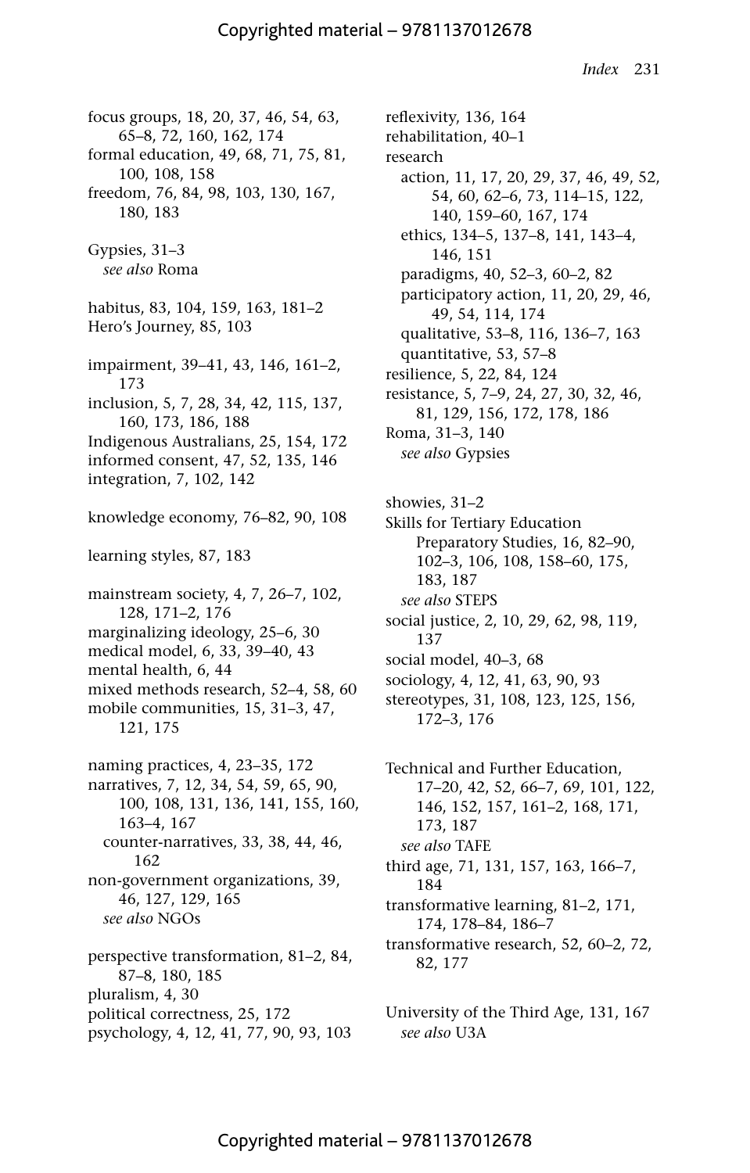*Index* 231

focus groups, 18, 20, 37, 46, 54, 63, 65–8, 72, 160, 162, 174 formal education, 49, 68, 71, 75, 81, 100, 108, 158 freedom, 76, 84, 98, 103, 130, 167, 180, 183 Gypsies, 31–3 *see also* Roma habitus, 83, 104, 159, 163, 181–2 Hero's Journey, 85, 103 impairment, 39–41, 43, 146, 161–2, 173 inclusion, 5, 7, 28, 34, 42, 115, 137, 160, 173, 186, 188 Indigenous Australians, 25, 154, 172 informed consent, 47, 52, 135, 146 integration, 7, 102, 142 knowledge economy, 76–82, 90, 108 learning styles, 87, 183 mainstream society, 4, 7, 26–7, 102, 128, 171–2, 176 marginalizing ideology, 25–6, 30 medical model, 6, 33, 39–40, 43 mental health, 6, 44 mixed methods research, 52–4, 58, 60 mobile communities, 15, 31–3, 47, 121, 175 naming practices, 4, 23–35, 172 narratives, 7, 12, 34, 54, 59, 65, 90, 100, 108, 131, 136, 141, 155, 160, 163–4, 167 counter-narratives, 33, 38, 44, 46, 162 non-government organizations, 39, 46, 127, 129, 165 *see also* NGOs perspective transformation, 81–2, 84, 87–8, 180, 185 pluralism, 4, 30 political correctness, 25, 172 psychology, 4, 12, 41, 77, 90, 93, 103

reflexivity, 136, 164 rehabilitation, 40–1 research action, 11, 17, 20, 29, 37, 46, 49, 52, 54, 60, 62–6, 73, 114–15, 122, 140, 159–60, 167, 174 ethics, 134–5, 137–8, 141, 143–4, 146, 151 paradigms, 40, 52–3, 60–2, 82 participatory action, 11, 20, 29, 46, 49, 54, 114, 174 qualitative, 53–8, 116, 136–7, 163 quantitative, 53, 57–8 resilience, 5, 22, 84, 124 resistance, 5, 7–9, 24, 27, 30, 32, 46, 81, 129, 156, 172, 178, 186 Roma, 31–3, 140 *see also* Gypsies

showies, 31–2

Skills for Tertiary Education Preparatory Studies, 16, 82–90, 102–3, 106, 108, 158–60, 175, 183, 187 *see also* STEPS

- social justice, 2, 10, 29, 62, 98, 119, 137
- social model, 40–3, 68
- sociology, 4, 12, 41, 63, 90, 93

stereotypes, 31, 108, 123, 125, 156, 172–3, 176

Technical and Further Education, 17–20, 42, 52, 66–7, 69, 101, 122, 146, 152, 157, 161–2, 168, 171, 173, 187 *see also* TAFE third age, 71, 131, 157, 163, 166–7, 184 transformative learning, 81–2, 171, 174, 178–84, 186–7 transformative research, 52, 60–2, 72, 82, 177

University of the Third Age, 131, 167 *see also* U3A